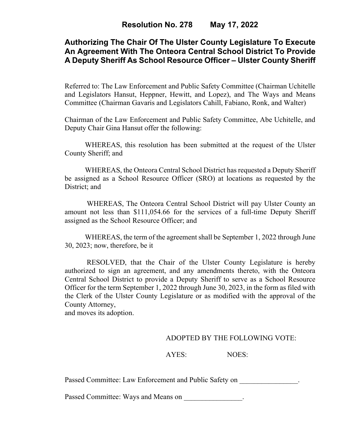# **Authorizing The Chair Of The Ulster County Legislature To Execute An Agreement With The Onteora Central School District To Provide A Deputy Sheriff As School Resource Officer – Ulster County Sheriff**

Referred to: The Law Enforcement and Public Safety Committee (Chairman Uchitelle and Legislators Hansut, Heppner, Hewitt, and Lopez), and The Ways and Means Committee (Chairman Gavaris and Legislators Cahill, Fabiano, Ronk, and Walter)

Chairman of the Law Enforcement and Public Safety Committee, Abe Uchitelle, and Deputy Chair Gina Hansut offer the following:

WHEREAS, this resolution has been submitted at the request of the Ulster County Sheriff; and

WHEREAS, the Onteora Central School District has requested a Deputy Sheriff be assigned as a School Resource Officer (SRO) at locations as requested by the District; and

WHEREAS, The Onteora Central School District will pay Ulster County an amount not less than \$111,054.66 for the services of a full-time Deputy Sheriff assigned as the School Resource Officer; and

WHEREAS, the term of the agreement shall be September 1, 2022 through June 30, 2023; now, therefore, be it

RESOLVED, that the Chair of the Ulster County Legislature is hereby authorized to sign an agreement, and any amendments thereto, with the Onteora Central School District to provide a Deputy Sheriff to serve as a School Resource Officer for the term September 1, 2022 through June 30, 2023, in the form as filed with the Clerk of the Ulster County Legislature or as modified with the approval of the County Attorney,

and moves its adoption.

### ADOPTED BY THE FOLLOWING VOTE:

AYES: NOES:

Passed Committee: Law Enforcement and Public Safety on  $\qquad \qquad$ .

Passed Committee: Ways and Means on  $\blacksquare$